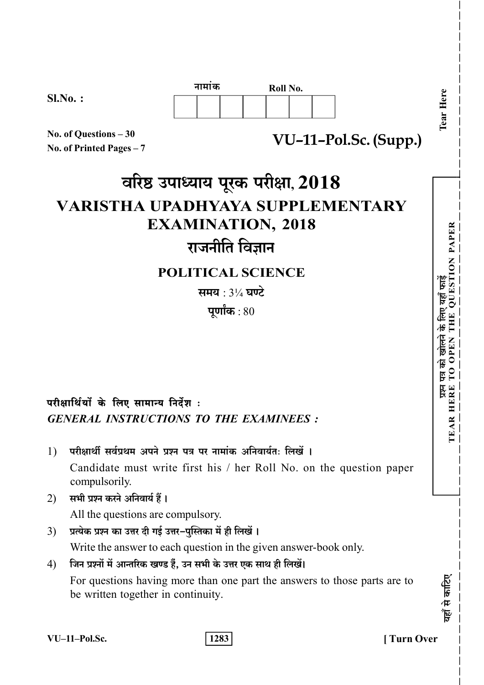|            | नामाक<br>Roll No. |  |  |  |  | C. |    |
|------------|-------------------|--|--|--|--|----|----|
| $Sl.No.$ : |                   |  |  |  |  |    | ධ  |
|            |                   |  |  |  |  |    |    |
|            |                   |  |  |  |  |    | 22 |

VU-11-Pol.Sc. (Supp.)

No. of Ouestions - 30 No. of Printed Pages  $-7$ 

# वरिष्ठ उपाध्याय पूरक परीक्षा, 2018 **VARISTHA UPADHYAYA SUPPLEMENTARY EXAMINATION, 2018** राजनीति विज्ञान

## **POLITICAL SCIENCE**

समय :  $3\frac{1}{4}$  घण्टे

पूर्णांक $:80$ 

## परीक्षार्थियों के लिए सामान्य निर्देश:

**GENERAL INSTRUCTIONS TO THE EXAMINEES :** 

- परीक्षार्थी सर्वपथम अपने पत्रन पत्र पर नामांक अनिवार्यतः लिखें ।  $\left( \frac{1}{2} \right)$ Candidate must write first his / her Roll No. on the question paper compulsorily.
- $(2)$ सभी प्रश्न करने अनिवार्य हैं ।

All the questions are compulsory.

- प्रत्येक प्रश्न का उत्तर दी गई उत्तर-पुस्तिका में ही लिखें ।  $3)$ Write the answer to each question in the given answer-book only.
- जिन प्रश्नों में आन्तरिक खण्ड हैं, उन सभी के उत्तर एक साथ ही लिखें।  $4)$

For questions having more than one part the answers to those parts are to be written together in continuity.

VU-11-Pol.Sc.

1283

**Turn Over** 

**ION PAPER** 

Ĕ

खोलने के लिए यहाँ

पत्र को : TO

 $\overline{5}$ 

EAR HERE

गहाँ से काटिए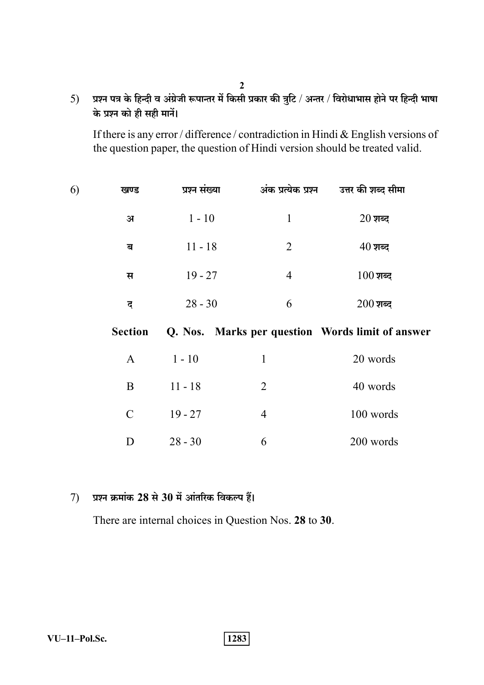प्रश्न पत्र के हिन्दी व अंग्रेजी रूपान्तर में किसी प्रकार की त्रुटि / अन्तर / विरोधाभास होने पर हिन्दी भाषा  $5)$ के प्रश्न को ही सही मानें।

 $\overline{2}$ 

If there is any error / difference / contradiction in Hindi & English versions of the question paper, the question of Hindi version should be treated valid.

| 6) | खण्ड           | प्रश्न संख्या | अंक प्रत्येक प्रश्न | उत्तर की शब्द सीमा                               |
|----|----------------|---------------|---------------------|--------------------------------------------------|
|    | $\mathbf{H}$   | $1 - 10$      | $\mathbf{1}$        | $20 \overline{\mathrm{m}}$ ब्द                   |
|    | ब              | $11 - 18$     | $\overline{2}$      | $40 \overline{\mathrm{m}}$ ब्द                   |
|    | स              | $19 - 27$     | $\overline{4}$      | $100$ शब्द                                       |
|    | द              | $28 - 30$     | 6                   | $200$ शब्द                                       |
|    | <b>Section</b> |               |                     | Q. Nos. Marks per question Words limit of answer |
|    | $\mathbf{A}$   | $1 - 10$      | $\mathbf{1}$        | 20 words                                         |
|    | B              | $11 - 18$     | $\overline{2}$      | 40 words                                         |
|    | $\mathcal{C}$  | $19 - 27$     | $\overline{4}$      | 100 words                                        |
|    |                |               |                     |                                                  |

#### प्रश्न क्रमांक 28 से 30 में आंतरिक विकल्प हैं।  $7)$

There are internal choices in Question Nos. 28 to 30.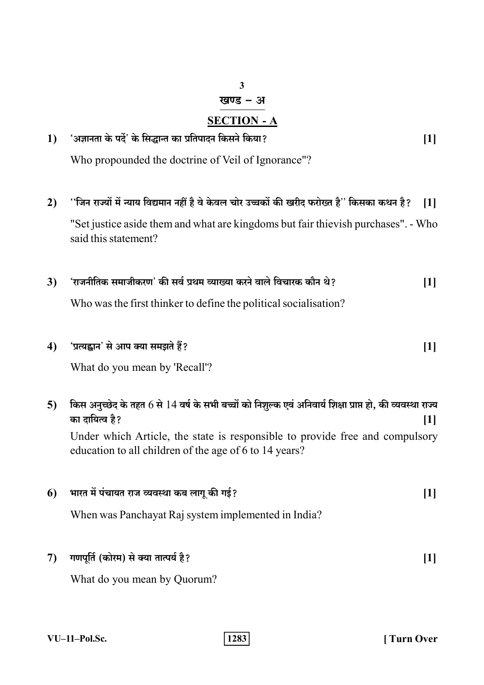## $\overline{\mathbf{3}}$ खण्ड - अ

## **SECTION - A**

#### 'अज्ञानता के पर्दे' के सिद्धान्त का प्रतिपादन किसने किया?  $1)$  $[1]$ Who propounded the doctrine of Veil of Ignorance"?

- ''जिन राज्यों में न्याय विद्यमान नहीं है वे केवल चोर उच्चकों की खरीद फरोख्त है'' किसका कथन है?  $2)$  $[1]$ "Set justice aside them and what are kingdoms but fair thievish purchases". - Who said this statement?
- 'राजनीतिक समाजीकरण' की सर्व प्रथम व्याख्या करने वाले विचारक कौन थे?  $3)$  $[1]$

Who was the first thinker to define the political socialisation?

'प्रत्यह्वान' से आप क्या समझते हैं?  $[1]$  $4)$ 

What do you mean by 'Recall'?

 $5)$ किस अनुच्छेद के तहत 6 से 14 वर्ष के सभी बच्चों को निशुल्क एवं अनिवार्य शिक्षा प्राप्त हो, की व्यवस्था राज्य का दायित्व है?  $[1]$ Under which Article, the state is responsible to provide free and compulsory education to all children of the age of 6 to 14 years? भारत में पंचायत राज व्यवस्था कब लागू की गई? 6  $[1]$ 

When was Panchayat Raj system implemented in India?

गणपूर्ति (कोरम) से क्या तात्पर्य है?  $7)$  $[1]$ 

What do you mean by Quorum?

**Turn Over**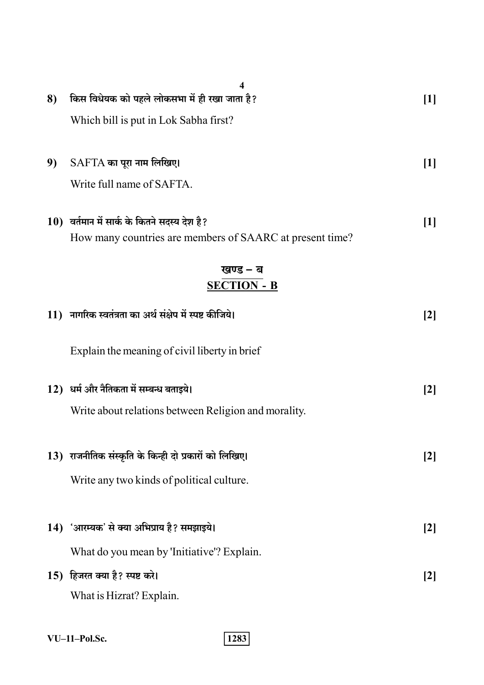| 8) | 4<br>किस विधेयक को पहले लोकसभा में ही रखा जाता है?                                                          | $[1]$               |
|----|-------------------------------------------------------------------------------------------------------------|---------------------|
|    | Which bill is put in Lok Sabha first?                                                                       |                     |
|    |                                                                                                             |                     |
| 9) | $SAFTA$ का पूरा नाम लिखिए।                                                                                  | $[1]$               |
|    | Write full name of SAFTA.                                                                                   |                     |
|    | $10$ ) वर्तमान में सार्क के कितने सदस्य देश है?<br>How many countries are members of SAARC at present time? | $[1]$               |
|    | खण्ड – ब                                                                                                    |                     |
|    | <b>SECTION - B</b>                                                                                          |                     |
|    | 11) नागरिक स्वतंत्रता का अर्थ संक्षेप में स्पष्ट कीजिये।                                                    | [2]                 |
|    | Explain the meaning of civil liberty in brief                                                               |                     |
|    |                                                                                                             |                     |
|    | 12) धर्म और नैतिकता में सम्बन्ध बताइये।                                                                     | $\lbrack 2 \rbrack$ |
|    | Write about relations between Religion and morality.                                                        |                     |
|    | 13) राजनीतिक संस्कृति के किन्ही दो प्रकारों को लिखिए।                                                       | $[2]$               |
|    | Write any two kinds of political culture.                                                                   |                     |
|    |                                                                                                             |                     |
|    | 14) 'आरम्यक' से क्या अभिप्राय है? समझाइये।                                                                  | $[2]$               |
|    | What do you mean by 'Initiative'? Explain.                                                                  |                     |
|    | 15) हिजरत क्या है? स्पष्ट करे।                                                                              | [2]                 |
|    | What is Hizrat? Explain.                                                                                    |                     |

 $VU-11-PoI.Sc.$ 

 $\boxed{1283}$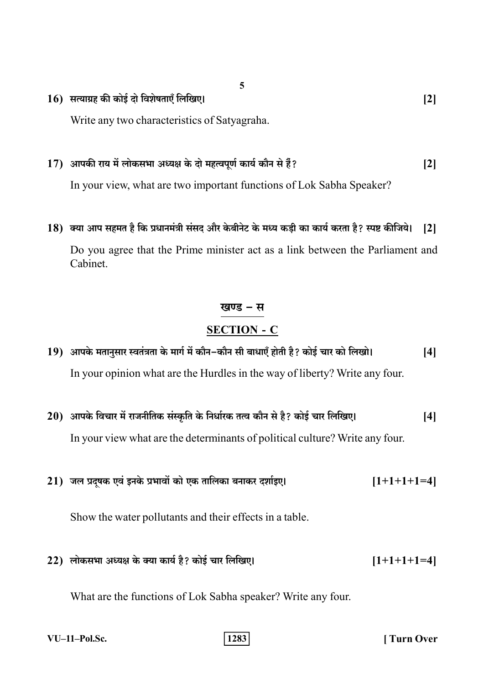$16$ ) सत्याग्रह की कोई दो विशेषताएँ लिखिए।

Write any two characteristics of Satyagraha.

#### 17) आपकी राय में लोकसभा अध्यक्ष के दो महत्वपूर्ण कार्य कौन से हैं?  $\lceil 2 \rceil$

In your view, what are two important functions of Lok Sabha Speaker?

18) क्या आप सहमत है कि प्रधानमंत्री संसद और केबीनेट के मध्य कड़ी का कार्य करता है? स्पष्ट कीजिये।  $\lceil 2 \rceil$ 

Do you agree that the Prime minister act as a link between the Parliament and Cabinet.

## खण्ड – स

### **SECTION - C**

- 19) आपके मतानुसार स्वतंत्रता के मार्ग में कौन-कौन सी बाधाएँ होती है? कोई चार को लिखो।  $[4]$ In your opinion what are the Hurdles in the way of liberty? Write any four.
- 20) आपके विचार में राजनीतिक संस्कृति के निर्धारक तत्व कौन से है? कोई चार लिखिए।  $[4]$ In your view what are the determinants of political culture? Write any four.
- 21) जल प्रदूषक एवं इनके प्रभावों को एक तालिका बनाकर दर्शाइए।  $[1+1+1+1=4]$

Show the water pollutants and their effects in a table.

22) लोकसभा अध्यक्ष के क्या कार्य है? कोई चार लिखिए।  $[1+1+1+1=4]$ 

What are the functions of Lok Sabha speaker? Write any four.

**Turn Over** 

 $\lceil 2 \rceil$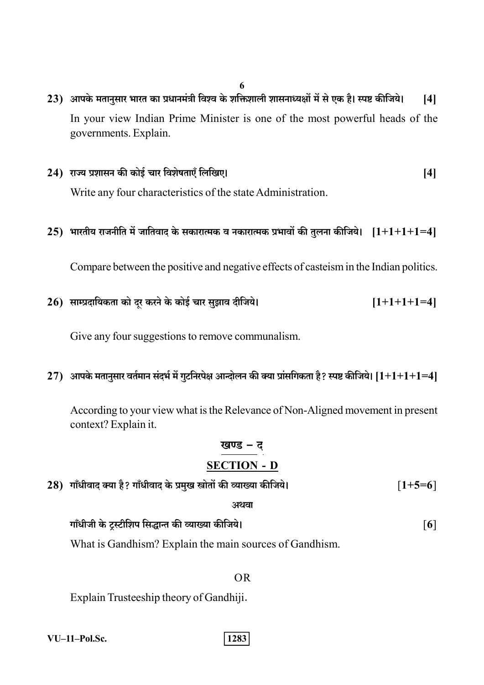- 6
- 23) आपके मतानुसार भारत का प्रधानमंत्री विश्व के शक्तिशाली शासनाध्यक्षों में से एक है। स्पष्ट कीजिये।  $[4]$ In your view Indian Prime Minister is one of the most powerful heads of the governments. Explain.
- 24) राज्य प्रशासन की कोई चार विशेषताएँ लिखिए।  $[4]$

Write any four characteristics of the state Administration.

## 25) भारतीय राजनीति में जातिवाद के सकारात्मक व नकारात्मक प्रभावों की तुलना कीजिये।  $[1+1+1+1=4]$

Compare between the positive and negative effects of casteism in the Indian politics.

26) साम्प्रदायिकता को दर करने के कोई चार सुझाव दीजिये।  $[1+1+1+1=4]$ 

Give any four suggestions to remove communalism.

27) आपके मतानुसार वर्तमान संदर्भ में गुटनिरपेक्ष आन्दोलन की क्या प्रांसगिकता है? स्पष्ट कीजिये।  $[1+1+1+1=4]$ 

According to your view what is the Relevance of Non-Aligned movement in present context? Explain it.

## खण्ड – द **SECTION - D**

| 28) गाँधीवाद क्या है? गाँधीवाद के प्रमुख स्त्रोतों की व्याख्या कीजिये। | $[1+5=6]$         |
|------------------------------------------------------------------------|-------------------|
| अथवा                                                                   |                   |
| गाँधीजी के ट्रस्टीशिप सिद्धान्त की व्याख्या कीजिये।                    | $\lceil 6 \rceil$ |

What is Gandhism? Explain the main sources of Gandhism.

#### $OR$

Explain Trusteeship theory of Gandhiji.

VU-11-Pol.Sc.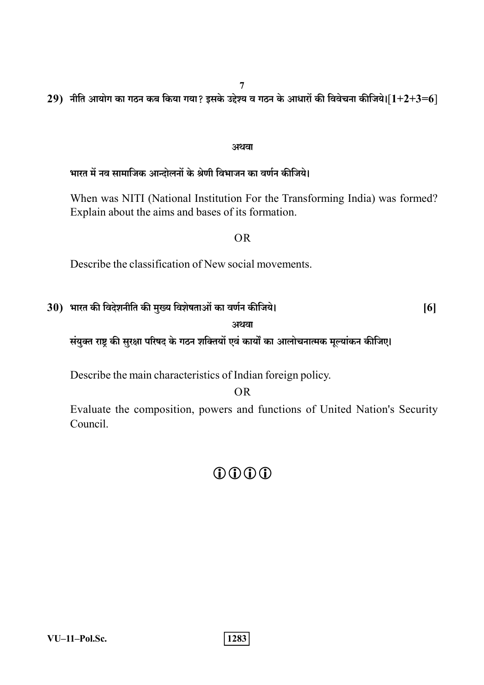29) नीति आयोग का गठन कब किया गया? इसके उद्देश्य व गठन के आधारों की विवेचना कीजिये। $[1+2+3=6]$ 

#### अथवा

## भारत में नव सामाजिक आन्दोलनों के श्रेणी विभाजन का वर्णन कीजिये।

When was NITI (National Institution For the Transforming India) was formed? Explain about the aims and bases of its formation.

#### $OR$

Describe the classification of New social movements.

## 30) भारत की विदेशनीति की मुख्य विशेषताओं का वर्णन कीजिये।

 $[6]$ 

### अथवा

संयुक्त राष्ट्र की सुरक्षा परिषद के गठन शक्तियों एवं कार्यों का आलोचनात्मक मूल्यांकन कीजिए।

Describe the main characteristics of Indian foreign policy.

## $OR$

Evaluate the composition, powers and functions of United Nation's Security Council.